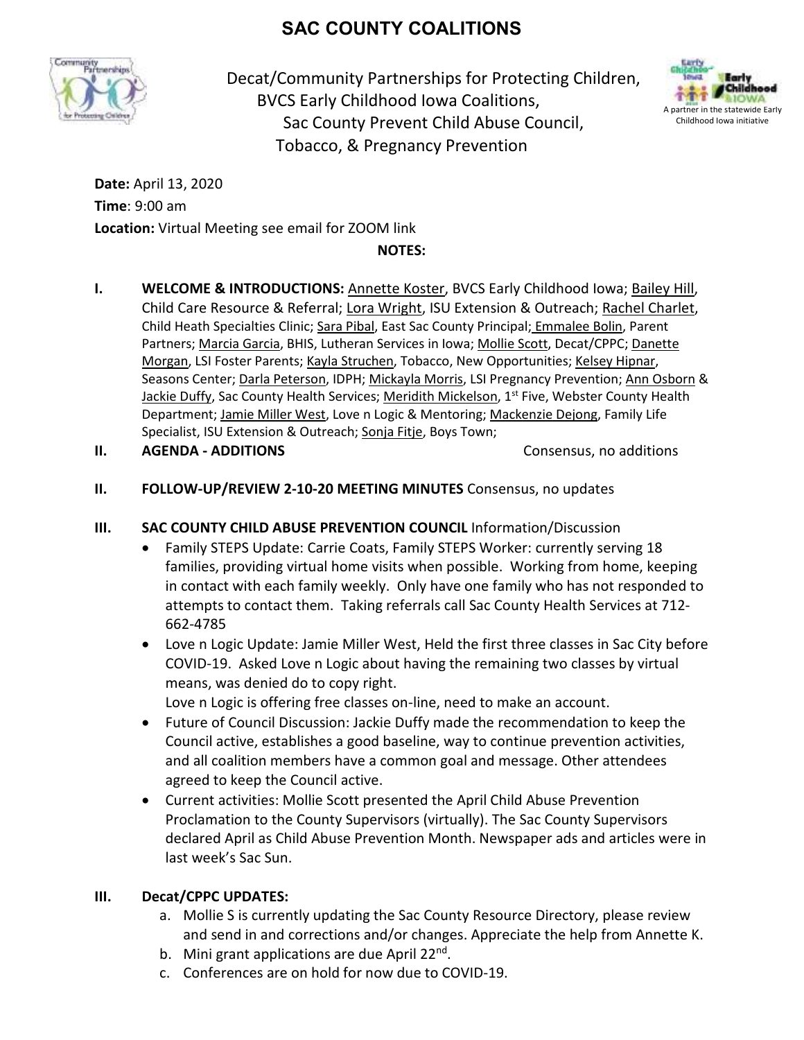# **SAC COUNTY COALITIONS**



Decat/Community Partnerships for Protecting Children, BVCS Early Childhood Iowa Coalitions, Sac County Prevent Child Abuse Council, Tobacco, & Pregnancy Prevention



**Date:** April 13, 2020 **Time**: 9:00 am **Location:** Virtual Meeting see email for ZOOM link

**NOTES:** 

- **I. WELCOME & INTRODUCTIONS:** Annette Koster, BVCS Early Childhood Iowa; Bailey Hill, Child Care Resource & Referral; Lora Wright, ISU Extension & Outreach; Rachel Charlet, Child Heath Specialties Clinic; Sara Pibal, East Sac County Principal; Emmalee Bolin, Parent Partners; Marcia Garcia, BHIS, Lutheran Services in Iowa; Mollie Scott, Decat/CPPC; Danette Morgan, LSI Foster Parents; Kayla Struchen, Tobacco, New Opportunities; Kelsey Hipnar, Seasons Center; Darla Peterson, IDPH; Mickayla Morris, LSI Pregnancy Prevention; Ann Osborn & Jackie Duffy, Sac County Health Services; Meridith Mickelson, 1<sup>st</sup> Five, Webster County Health Department; Jamie Miller West, Love n Logic & Mentoring; Mackenzie Dejong, Family Life Specialist, ISU Extension & Outreach; Sonja Fitje, Boys Town;
- **II. AGENDA ADDITIONS** Consensus, no additions

- **II. FOLLOW-UP/REVIEW 2-10-20 MEETING MINUTES** Consensus, no updates
- **III. SAC COUNTY CHILD ABUSE PREVENTION COUNCIL Information/Discussion** 
	- Family STEPS Update: Carrie Coats, Family STEPS Worker: currently serving 18 families, providing virtual home visits when possible. Working from home, keeping in contact with each family weekly. Only have one family who has not responded to attempts to contact them. Taking referrals call Sac County Health Services at 712- 662-4785
	- Love n Logic Update: Jamie Miller West, Held the first three classes in Sac City before COVID-19. Asked Love n Logic about having the remaining two classes by virtual means, was denied do to copy right.

Love n Logic is offering free classes on-line, need to make an account.

- Future of Council Discussion: Jackie Duffy made the recommendation to keep the Council active, establishes a good baseline, way to continue prevention activities, and all coalition members have a common goal and message. Other attendees agreed to keep the Council active.
- Current activities: Mollie Scott presented the April Child Abuse Prevention Proclamation to the County Supervisors (virtually). The Sac County Supervisors declared April as Child Abuse Prevention Month. Newspaper ads and articles were in last week's Sac Sun.

## **III. Decat/CPPC UPDATES:**

- a. Mollie S is currently updating the Sac County Resource Directory, please review and send in and corrections and/or changes. Appreciate the help from Annette K.
- b. Mini grant applications are due April 22<sup>nd</sup>.
- c. Conferences are on hold for now due to COVID-19.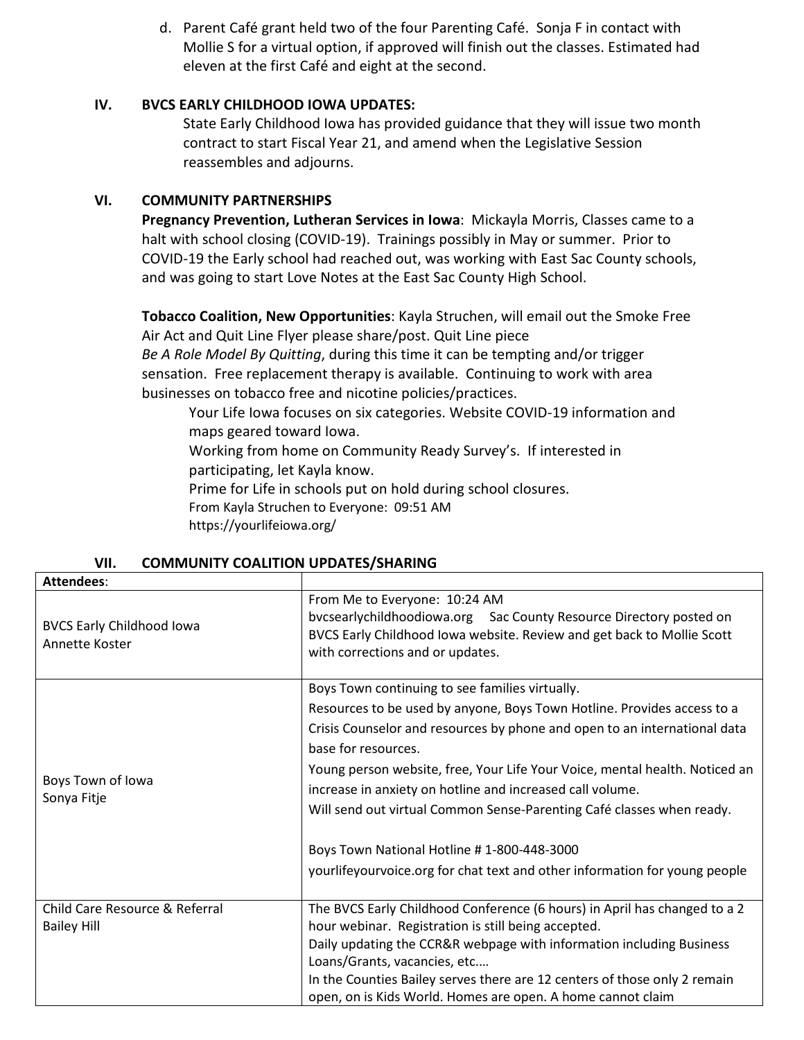d. Parent Café grant held two of the four Parenting Café. Sonja F in contact with Mollie S for a virtual option, if approved will finish out the classes. Estimated had eleven at the first Café and eight at the second.

### **IV. BVCS EARLY CHILDHOOD IOWA UPDATES:**

State Early Childhood Iowa has provided guidance that they will issue two month contract to start Fiscal Year 21, and amend when the Legislative Session reassembles and adjourns.

### **VI. COMMUNITY PARTNERSHIPS**

**Pregnancy Prevention, Lutheran Services in Iowa**: Mickayla Morris, Classes came to a halt with school closing (COVID-19). Trainings possibly in May or summer. Prior to COVID-19 the Early school had reached out, was working with East Sac County schools, and was going to start Love Notes at the East Sac County High School.

**Tobacco Coalition, New Opportunities**: Kayla Struchen, will email out the Smoke Free Air Act and Quit Line Flyer please share/post. Quit Line piece *Be A Role Model By Quitting*, during this time it can be tempting and/or trigger sensation. Free replacement therapy is available. Continuing to work with area businesses on tobacco free and nicotine policies/practices.

Your Life Iowa focuses on six categories. Website COVID-19 information and maps geared toward Iowa.

Working from home on Community Ready Survey's. If interested in participating, let Kayla know.

Prime for Life in schools put on hold during school closures.

From Kayla Struchen to Everyone: 09:51 AM

https://yourlifeiowa.org/

| <b>Attendees:</b>                                  |                                                                                                                                                                                                                   |
|----------------------------------------------------|-------------------------------------------------------------------------------------------------------------------------------------------------------------------------------------------------------------------|
| <b>BVCS Early Childhood Iowa</b><br>Annette Koster | From Me to Everyone: 10:24 AM<br>bvcsearlychildhoodiowa.org Sac County Resource Directory posted on<br>BVCS Early Childhood Iowa website. Review and get back to Mollie Scott<br>with corrections and or updates. |
|                                                    | Boys Town continuing to see families virtually.                                                                                                                                                                   |
|                                                    | Resources to be used by anyone, Boys Town Hotline. Provides access to a                                                                                                                                           |
| Boys Town of Iowa<br>Sonya Fitje                   | Crisis Counselor and resources by phone and open to an international data                                                                                                                                         |
|                                                    | base for resources.                                                                                                                                                                                               |
|                                                    | Young person website, free, Your Life Your Voice, mental health. Noticed an                                                                                                                                       |
|                                                    | increase in anxiety on hotline and increased call volume.                                                                                                                                                         |
|                                                    | Will send out virtual Common Sense-Parenting Café classes when ready.                                                                                                                                             |
|                                                    | Boys Town National Hotline #1-800-448-3000                                                                                                                                                                        |
|                                                    | yourlifeyourvoice.org for chat text and other information for young people                                                                                                                                        |
| Child Care Resource & Referral                     | The BVCS Early Childhood Conference (6 hours) in April has changed to a 2                                                                                                                                         |
| <b>Bailey Hill</b>                                 | hour webinar. Registration is still being accepted.                                                                                                                                                               |
|                                                    | Daily updating the CCR&R webpage with information including Business                                                                                                                                              |
|                                                    | Loans/Grants, vacancies, etc                                                                                                                                                                                      |
|                                                    | In the Counties Bailey serves there are 12 centers of those only 2 remain                                                                                                                                         |
|                                                    | open, on is Kids World. Homes are open. A home cannot claim                                                                                                                                                       |

## **VII. COMMUNITY COALITION UPDATES/SHARING**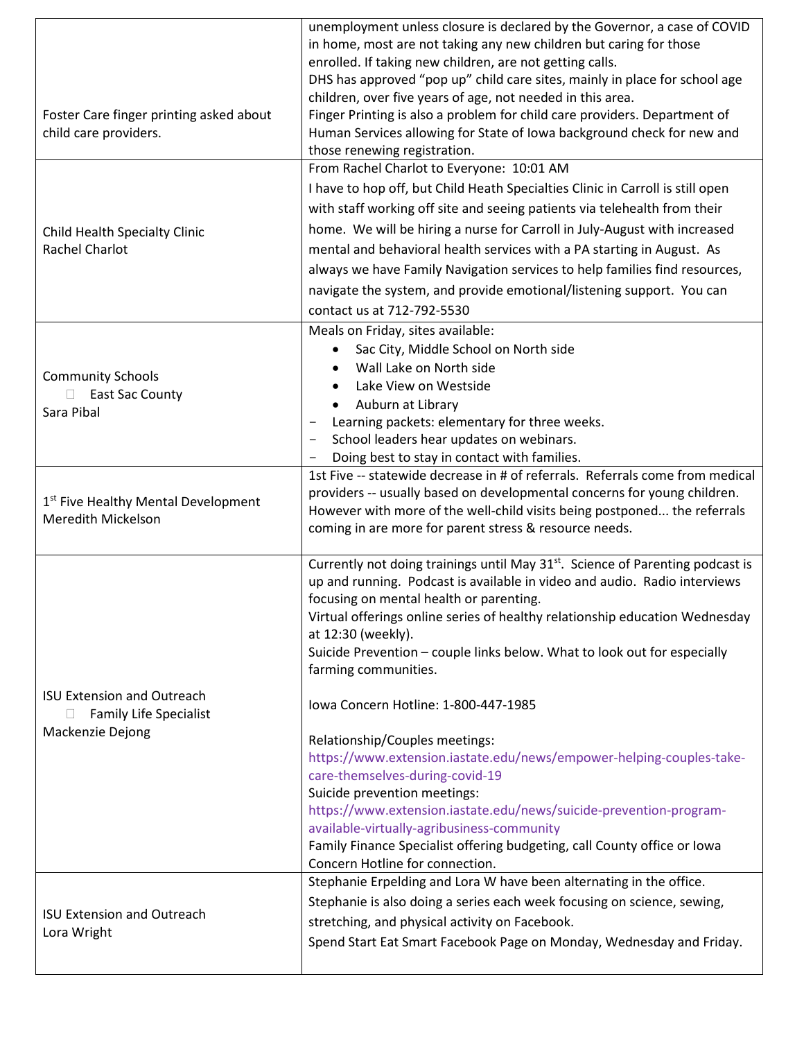| Foster Care finger printing asked about<br>child care providers.                                 | unemployment unless closure is declared by the Governor, a case of COVID<br>in home, most are not taking any new children but caring for those<br>enrolled. If taking new children, are not getting calls.<br>DHS has approved "pop up" child care sites, mainly in place for school age<br>children, over five years of age, not needed in this area.<br>Finger Printing is also a problem for child care providers. Department of<br>Human Services allowing for State of Iowa background check for new and<br>those renewing registration.        |
|--------------------------------------------------------------------------------------------------|------------------------------------------------------------------------------------------------------------------------------------------------------------------------------------------------------------------------------------------------------------------------------------------------------------------------------------------------------------------------------------------------------------------------------------------------------------------------------------------------------------------------------------------------------|
| Child Health Specialty Clinic<br>Rachel Charlot                                                  | From Rachel Charlot to Everyone: 10:01 AM<br>I have to hop off, but Child Heath Specialties Clinic in Carroll is still open<br>with staff working off site and seeing patients via telehealth from their<br>home. We will be hiring a nurse for Carroll in July-August with increased<br>mental and behavioral health services with a PA starting in August. As<br>always we have Family Navigation services to help families find resources,<br>navigate the system, and provide emotional/listening support. You can<br>contact us at 712-792-5530 |
| <b>Community Schools</b><br><b>East Sac County</b><br>$\Box$<br>Sara Pibal                       | Meals on Friday, sites available:<br>Sac City, Middle School on North side<br>Wall Lake on North side<br>Lake View on Westside<br>Auburn at Library<br>Learning packets: elementary for three weeks.<br>$\overline{\phantom{0}}$<br>School leaders hear updates on webinars.<br>$\overline{\phantom{0}}$<br>Doing best to stay in contact with families.                                                                                                                                                                                             |
| 1 <sup>st</sup> Five Healthy Mental Development<br>Meredith Mickelson                            | 1st Five -- statewide decrease in # of referrals. Referrals come from medical<br>providers -- usually based on developmental concerns for young children.<br>However with more of the well-child visits being postponed the referrals<br>coming in are more for parent stress & resource needs.                                                                                                                                                                                                                                                      |
|                                                                                                  | Currently not doing trainings until May 31 <sup>st</sup> . Science of Parenting podcast is<br>up and running. Podcast is available in video and audio. Radio interviews<br>focusing on mental health or parenting.<br>Virtual offerings online series of healthy relationship education Wednesday<br>at 12:30 (weekly).<br>Suicide Prevention - couple links below. What to look out for especially<br>farming communities.                                                                                                                          |
| <b>ISU Extension and Outreach</b><br><b>Family Life Specialist</b><br>$\Box$<br>Mackenzie Dejong | Iowa Concern Hotline: 1-800-447-1985<br>Relationship/Couples meetings:<br>https://www.extension.iastate.edu/news/empower-helping-couples-take-<br>care-themselves-during-covid-19<br>Suicide prevention meetings:<br>https://www.extension.iastate.edu/news/suicide-prevention-program-<br>available-virtually-agribusiness-community<br>Family Finance Specialist offering budgeting, call County office or Iowa<br>Concern Hotline for connection.<br>Stephanie Erpelding and Lora W have been alternating in the office.                          |
| <b>ISU Extension and Outreach</b><br>Lora Wright                                                 | Stephanie is also doing a series each week focusing on science, sewing,<br>stretching, and physical activity on Facebook.<br>Spend Start Eat Smart Facebook Page on Monday, Wednesday and Friday.                                                                                                                                                                                                                                                                                                                                                    |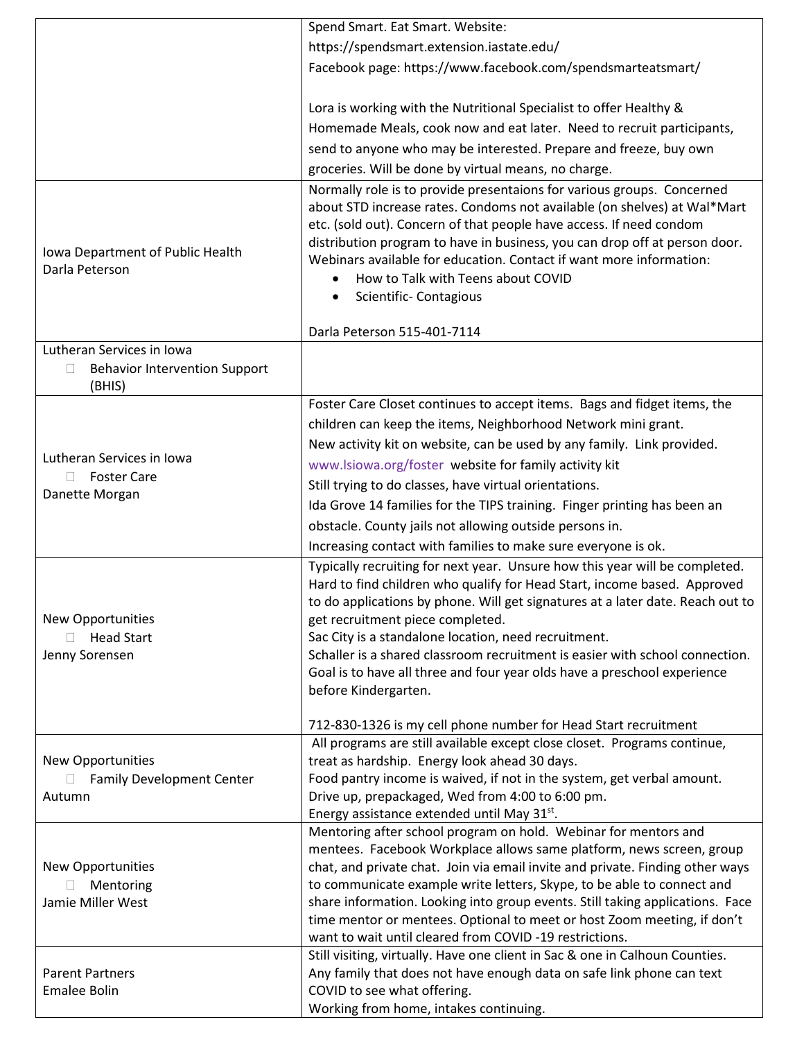|                                                                           | Spend Smart. Eat Smart. Website:                                                                                                                                                                                                                                                                                                                                                                                                                                                                                          |
|---------------------------------------------------------------------------|---------------------------------------------------------------------------------------------------------------------------------------------------------------------------------------------------------------------------------------------------------------------------------------------------------------------------------------------------------------------------------------------------------------------------------------------------------------------------------------------------------------------------|
|                                                                           | https://spendsmart.extension.iastate.edu/                                                                                                                                                                                                                                                                                                                                                                                                                                                                                 |
|                                                                           | Facebook page: https://www.facebook.com/spendsmarteatsmart/                                                                                                                                                                                                                                                                                                                                                                                                                                                               |
|                                                                           |                                                                                                                                                                                                                                                                                                                                                                                                                                                                                                                           |
|                                                                           | Lora is working with the Nutritional Specialist to offer Healthy &                                                                                                                                                                                                                                                                                                                                                                                                                                                        |
|                                                                           | Homemade Meals, cook now and eat later. Need to recruit participants,                                                                                                                                                                                                                                                                                                                                                                                                                                                     |
|                                                                           |                                                                                                                                                                                                                                                                                                                                                                                                                                                                                                                           |
|                                                                           | send to anyone who may be interested. Prepare and freeze, buy own                                                                                                                                                                                                                                                                                                                                                                                                                                                         |
|                                                                           | groceries. Will be done by virtual means, no charge.                                                                                                                                                                                                                                                                                                                                                                                                                                                                      |
| Iowa Department of Public Health<br>Darla Peterson                        | Normally role is to provide presentaions for various groups. Concerned<br>about STD increase rates. Condoms not available (on shelves) at Wal*Mart<br>etc. (sold out). Concern of that people have access. If need condom<br>distribution program to have in business, you can drop off at person door.<br>Webinars available for education. Contact if want more information:<br>How to Talk with Teens about COVID<br>Scientific-Contagious                                                                             |
|                                                                           | Darla Peterson 515-401-7114                                                                                                                                                                                                                                                                                                                                                                                                                                                                                               |
| Lutheran Services in Iowa                                                 |                                                                                                                                                                                                                                                                                                                                                                                                                                                                                                                           |
| <b>Behavior Intervention Support</b><br>$\Box$                            |                                                                                                                                                                                                                                                                                                                                                                                                                                                                                                                           |
| (BHIS)                                                                    |                                                                                                                                                                                                                                                                                                                                                                                                                                                                                                                           |
|                                                                           | Foster Care Closet continues to accept items. Bags and fidget items, the                                                                                                                                                                                                                                                                                                                                                                                                                                                  |
|                                                                           | children can keep the items, Neighborhood Network mini grant.                                                                                                                                                                                                                                                                                                                                                                                                                                                             |
|                                                                           | New activity kit on website, can be used by any family. Link provided.                                                                                                                                                                                                                                                                                                                                                                                                                                                    |
| Lutheran Services in Iowa                                                 | www.lsiowa.org/foster website for family activity kit                                                                                                                                                                                                                                                                                                                                                                                                                                                                     |
| <b>Foster Care</b><br>$\Box$                                              | Still trying to do classes, have virtual orientations.                                                                                                                                                                                                                                                                                                                                                                                                                                                                    |
| Danette Morgan                                                            | Ida Grove 14 families for the TIPS training. Finger printing has been an                                                                                                                                                                                                                                                                                                                                                                                                                                                  |
|                                                                           | obstacle. County jails not allowing outside persons in.                                                                                                                                                                                                                                                                                                                                                                                                                                                                   |
|                                                                           | Increasing contact with families to make sure everyone is ok.                                                                                                                                                                                                                                                                                                                                                                                                                                                             |
| <b>New Opportunities</b><br><b>Head Start</b><br>$\Box$<br>Jenny Sorensen | Typically recruiting for next year. Unsure how this year will be completed.<br>Hard to find children who qualify for Head Start, income based. Approved<br>to do applications by phone. Will get signatures at a later date. Reach out to<br>get recruitment piece completed.<br>Sac City is a standalone location, need recruitment.<br>Schaller is a shared classroom recruitment is easier with school connection.<br>Goal is to have all three and four year olds have a preschool experience<br>before Kindergarten. |
|                                                                           | 712-830-1326 is my cell phone number for Head Start recruitment                                                                                                                                                                                                                                                                                                                                                                                                                                                           |
|                                                                           | All programs are still available except close closet. Programs continue,                                                                                                                                                                                                                                                                                                                                                                                                                                                  |
| New Opportunities                                                         | treat as hardship. Energy look ahead 30 days.                                                                                                                                                                                                                                                                                                                                                                                                                                                                             |
| <b>Family Development Center</b><br>П.                                    | Food pantry income is waived, if not in the system, get verbal amount.                                                                                                                                                                                                                                                                                                                                                                                                                                                    |
| Autumn                                                                    | Drive up, prepackaged, Wed from 4:00 to 6:00 pm.                                                                                                                                                                                                                                                                                                                                                                                                                                                                          |
|                                                                           | Energy assistance extended until May 31st.                                                                                                                                                                                                                                                                                                                                                                                                                                                                                |
|                                                                           | Mentoring after school program on hold. Webinar for mentors and                                                                                                                                                                                                                                                                                                                                                                                                                                                           |
|                                                                           | mentees. Facebook Workplace allows same platform, news screen, group                                                                                                                                                                                                                                                                                                                                                                                                                                                      |
| New Opportunities                                                         | chat, and private chat. Join via email invite and private. Finding other ways                                                                                                                                                                                                                                                                                                                                                                                                                                             |
| Mentoring<br>Jamie Miller West                                            | to communicate example write letters, Skype, to be able to connect and                                                                                                                                                                                                                                                                                                                                                                                                                                                    |
|                                                                           | share information. Looking into group events. Still taking applications. Face<br>time mentor or mentees. Optional to meet or host Zoom meeting, if don't                                                                                                                                                                                                                                                                                                                                                                  |
|                                                                           | want to wait until cleared from COVID -19 restrictions.                                                                                                                                                                                                                                                                                                                                                                                                                                                                   |
|                                                                           | Still visiting, virtually. Have one client in Sac & one in Calhoun Counties.                                                                                                                                                                                                                                                                                                                                                                                                                                              |
| <b>Parent Partners</b>                                                    | Any family that does not have enough data on safe link phone can text                                                                                                                                                                                                                                                                                                                                                                                                                                                     |
| <b>Emalee Bolin</b>                                                       | COVID to see what offering.                                                                                                                                                                                                                                                                                                                                                                                                                                                                                               |
|                                                                           | Working from home, intakes continuing.                                                                                                                                                                                                                                                                                                                                                                                                                                                                                    |